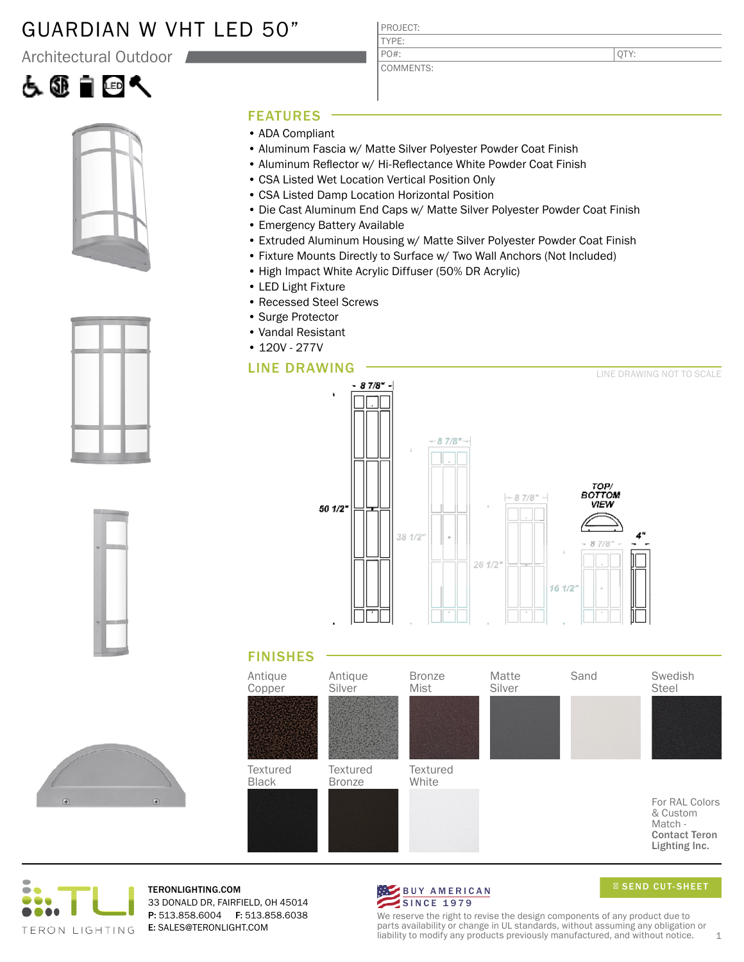# GUARDIAN W VHT LED 50"

Architectural Outdoor









#### FEATURES

- ADA Compliant
- Aluminum Fascia w/ Matte Silver Polyester Powder Coat Finish

PROJECT: TYPE:

PO#:

COMMENTS:

- Aluminum Reflector w/ Hi-Reflectance White Powder Coat Finish
- CSA Listed Wet Location Vertical Position Only
- CSA Listed Damp Location Horizontal Position
- Die Cast Aluminum End Caps w/ Matte Silver Polyester Powder Coat Finish
- Emergency Battery Available
- Extruded Aluminum Housing w/ Matte Silver Polyester Powder Coat Finish
- Fixture Mounts Directly to Surface w/ Two Wall Anchors (Not Included)
- High Impact White Acrylic Diffuser (50% DR Acrylic)
- LED Light Fixture
- Recessed Steel Screws
- Surge Protector
- Vandal Resistant
- 120V 277V

#### LINE DRAWING



### FINISHES





TERONLIGHTING.COM 33 DONALD DR, FAIRFIELD, OH 45014 P: 513.858.6004 F: 513.858.6038 E: SALES@TERONLIGHT.COM



SEND CUT-SHEET

We reserve the right to revise the design components of any product due to parts availability or change in UL standards, without assuming any obligation or liability to modify any products previously manufactured, and without notice.  $1$ 

QTY: